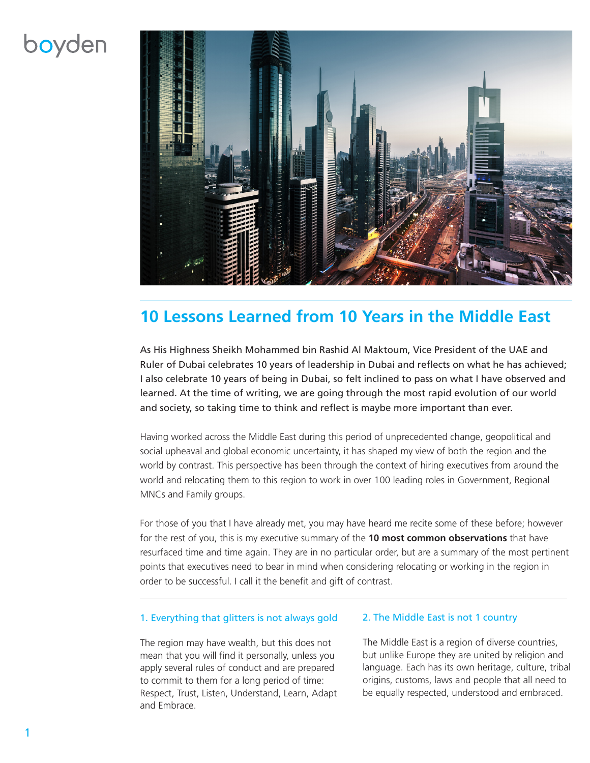# boyden



### **10 Lessons Learned from 10 Years in the Middle East**

As His Highness Sheikh Mohammed bin Rashid Al Maktoum, Vice President of the UAE and Ruler of Dubai celebrates 10 years of leadership in Dubai and reflects on what he has achieved; I also celebrate 10 years of being in Dubai, so felt inclined to pass on what I have observed and learned. At the time of writing, we are going through the most rapid evolution of our world and society, so taking time to think and reflect is maybe more important than ever.

Having worked across the Middle East during this period of unprecedented change, geopolitical and social upheaval and global economic uncertainty, it has shaped my view of both the region and the world by contrast. This perspective has been through the context of hiring executives from around the world and relocating them to this region to work in over 100 leading roles in Government, Regional MNCs and Family groups.

For those of you that I have already met, you may have heard me recite some of these before; however for the rest of you, this is my executive summary of the **10 most common observations** that have resurfaced time and time again. They are in no particular order, but are a summary of the most pertinent points that executives need to bear in mind when considering relocating or working in the region in order to be successful. I call it the benefit and gift of contrast.

#### 1. Everything that glitters is not always gold

The region may have wealth, but this does not mean that you will find it personally, unless you apply several rules of conduct and are prepared to commit to them for a long period of time: Respect, Trust, Listen, Understand, Learn, Adapt and Embrace.

#### 2. The Middle East is not 1 country

The Middle East is a region of diverse countries, but unlike Europe they are united by religion and language. Each has its own heritage, culture, tribal origins, customs, laws and people that all need to be equally respected, understood and embraced.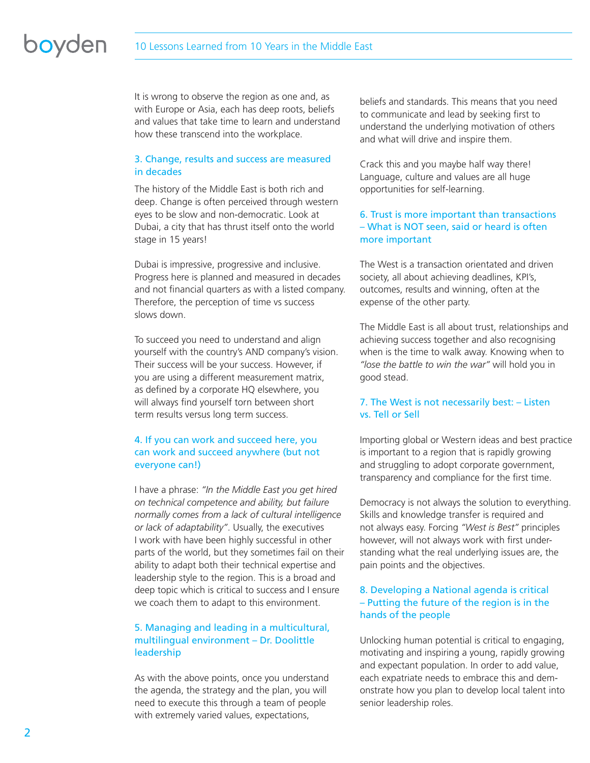# boyden

It is wrong to observe the region as one and, as with Europe or Asia, each has deep roots, beliefs and values that take time to learn and understand how these transcend into the workplace.

#### 3. Change, results and success are measured in decades

The history of the Middle East is both rich and deep. Change is often perceived through western eyes to be slow and non-democratic. Look at Dubai, a city that has thrust itself onto the world stage in 15 years!

Dubai is impressive, progressive and inclusive. Progress here is planned and measured in decades and not financial quarters as with a listed company. Therefore, the perception of time vs success slows down.

To succeed you need to understand and align yourself with the country's AND company's vision. Their success will be your success. However, if you are using a different measurement matrix, as defined by a corporate HQ elsewhere, you will always find yourself torn between short term results versus long term success.

#### 4. If you can work and succeed here, you can work and succeed anywhere (but not everyone can!)

I have a phrase: *"In the Middle East you get hired on technical competence and ability, but failure normally comes from a lack of cultural intelligence or lack of adaptability"*. Usually, the executives I work with have been highly successful in other parts of the world, but they sometimes fail on their ability to adapt both their technical expertise and leadership style to the region. This is a broad and deep topic which is critical to success and I ensure we coach them to adapt to this environment.

#### 5. Managing and leading in a multicultural, multilingual environment – Dr. Doolittle leadership

As with the above points, once you understand the agenda, the strategy and the plan, you will need to execute this through a team of people with extremely varied values, expectations,

beliefs and standards. This means that you need to communicate and lead by seeking first to understand the underlying motivation of others and what will drive and inspire them.

Crack this and you maybe half way there! Language, culture and values are all huge opportunities for self-learning.

#### 6. Trust is more important than transactions – What is NOT seen, said or heard is often more important

The West is a transaction orientated and driven society, all about achieving deadlines, KPI's, outcomes, results and winning, often at the expense of the other party.

The Middle East is all about trust, relationships and achieving success together and also recognising when is the time to walk away. Knowing when to *"lose the battle to win the war"* will hold you in good stead.

#### 7. The West is not necessarily best: – Listen vs. Tell or Sell

Importing global or Western ideas and best practice is important to a region that is rapidly growing and struggling to adopt corporate government, transparency and compliance for the first time.

Democracy is not always the solution to everything. Skills and knowledge transfer is required and not always easy. Forcing *"West is Best"* principles however, will not always work with first understanding what the real underlying issues are, the pain points and the objectives.

#### 8. Developing a National agenda is critical – Putting the future of the region is in the hands of the people

Unlocking human potential is critical to engaging, motivating and inspiring a young, rapidly growing and expectant population. In order to add value, each expatriate needs to embrace this and demonstrate how you plan to develop local talent into senior leadership roles.